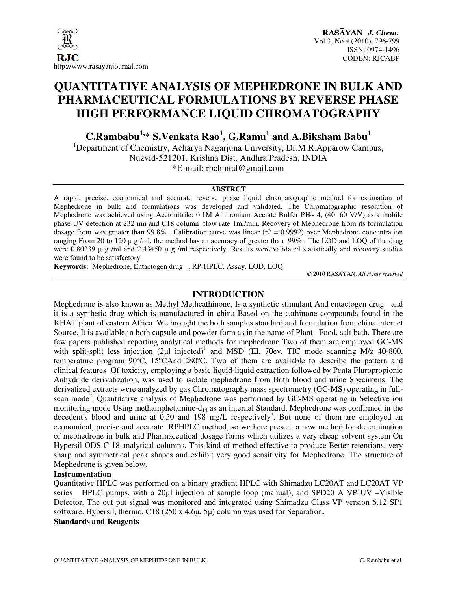

# **QUANTITATIVE ANALYSIS OF MEPHEDRONE IN BULK AND PHARMACEUTICAL FORMULATIONS BY REVERSE PHASE HIGH PERFORMANCE LIQUID CHROMATOGRAPHY**

**C.Rambabu1,\* S.Venkata Rao<sup>1</sup> , G.Ramu<sup>1</sup> and A.Biksham Babu<sup>1</sup>**

<sup>1</sup>Department of Chemistry, Acharya Nagarjuna University, Dr.M.R.Apparow Campus, Nuzvid-521201, Krishna Dist, Andhra Pradesh, INDIA \*E-mail: rbchintal@gmail.com

#### **ABSTRCT**

A rapid, precise, economical and accurate reverse phase liquid chromatographic method for estimation of Mephedrone in bulk and formulations was developed and validated. The Chromatographic resolution of Mephedrone was achieved using Acetonitrile: 0.1M Ammonium Acetate Buffer PH~ 4, (40: 60 V/V) as a mobile phase UV detection at 232 nm and C18 column .flow rate 1ml/min. Recovery of Mephedrone from its formulation dosage form was greater than 99.8%. Calibration curve was linear  $(r2 = 0.9992)$  over Mephedrone concentration ranging From 20 to 120 µ g /ml. the method has an accuracy of greater than 99% . The LOD and LOQ of the drug were 0.80339  $\mu$  g /ml and 2.43450  $\mu$  g /ml respectively. Results were validated statistically and recovery studies were found to be satisfactory.

**Keywords:** Mephedrone, Entactogen drug , RP-HPLC, Assay, LOD, LOQ

© 2010 RASĀYAN. *All rights reserved*

#### **INTRODUCTION**

Mephedrone is also known as Methyl Methcathinone, Is a synthetic stimulant And entactogen drug and it is a synthetic drug which is manufactured in china Based on the cathinone compounds found in the KHAT plant of eastern Africa. We brought the both samples standard and formulation from china internet Source, It is available in both capsule and powder form as in the name of Plant Food, salt bath. There are few papers published reporting analytical methods for mephedrone Two of them are employed GC-MS with split-split less injection  $(2\mu I \text{ injected})^1$  and MSD (EI, 70ev, TIC mode scanning M/z 40-800, temperature program 90ºC, 15ºCAnd 280ºC. Two of them are available to describe the pattern and clinical features Of toxicity, employing a basic liquid-liquid extraction followed by Penta Fluropropionic Anhydride derivatization, was used to isolate mephedrone from Both blood and urine Specimens. The derivatized extracts were analyzed by gas Chromatography mass spectrometry (GC-MS) operating in fullscan mode<sup>2</sup>. Quantitative analysis of Mephedrone was performed by GC-MS operating in Selective ion monitoring mode Using methamphetamine- $d_{14}$  as an internal Standard. Mephedrone was confirmed in the decedent's blood and urine at  $0.50$  and 198 mg/L respectively<sup>3</sup>. But none of them are employed an economical, precise and accurate RPHPLC method, so we here present a new method for determination of mephedrone in bulk and Pharmaceutical dosage forms which utilizes a very cheap solvent system On Hypersil ODS C 18 analytical columns. This kind of method effective to produce Better retentions, very sharp and symmetrical peak shapes and exhibit very good sensitivity for Mephedrone. The structure of Mephedrone is given below.

#### **Instrumentation**

Quantitative HPLC was performed on a binary gradient HPLC with Shimadzu LC20AT and LC20AT VP series HPLC pumps, with a 20µl injection of sample loop (manual), and SPD20 A VP UV –Visible Detector. The out put signal was monitored and integrated using Shimadzu Class VP version 6.12 SP1 software. Hypersil, thermo, C18 (250 x 4.6µ, 5µ) column was used for Separation**.** 

### **Standards and Reagents**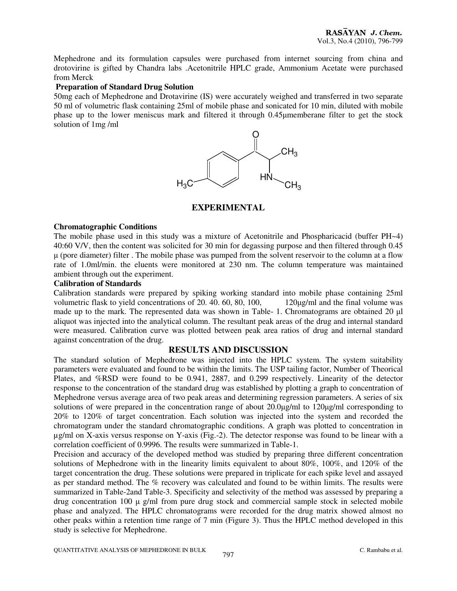Mephedrone and its formulation capsules were purchased from internet sourcing from china and drotovirine is gifted by Chandra labs .Acetonitrile HPLC grade, Ammonium Acetate were purchased from Merck

#### **Preparation of Standard Drug Solution**

50mg each of Mephedrone and Drotavirine (IS) were accurately weighed and transferred in two separate 50 ml of volumetric flask containing 25ml of mobile phase and sonicated for 10 min, diluted with mobile phase up to the lower meniscus mark and filtered it through 0.45µmemberane filter to get the stock solution of 1mg /ml



# **EXPERIMENTAL**

#### **Chromatographic Conditions**

The mobile phase used in this study was a mixture of Acetonitrile and Phospharicacid (buffer PH~4) 40:60 V/V, then the content was solicited for 30 min for degassing purpose and then filtered through 0.45 µ (pore diameter) filter . The mobile phase was pumped from the solvent reservoir to the column at a flow rate of 1.0ml/min. the eluents were monitored at 230 nm. The column temperature was maintained ambient through out the experiment.

## **Calibration of Standards**

Calibration standards were prepared by spiking working standard into mobile phase containing 25ml volumetric flask to yield concentrations of 20. 40. 60, 80, 100, 120µg/ml and the final volume was made up to the mark. The represented data was shown in Table- 1. Chromatograms are obtained 20 µl aliquot was injected into the analytical column. The resultant peak areas of the drug and internal standard were measured. Calibration curve was plotted between peak area ratios of drug and internal standard against concentration of the drug.

## **RESULTS AND DISCUSSION**

The standard solution of Mephedrone was injected into the HPLC system. The system suitability parameters were evaluated and found to be within the limits. The USP tailing factor, Number of Theorical Plates, and %RSD were found to be 0.941, 2887, and 0.299 respectively. Linearity of the detector response to the concentration of the standard drug was established by plotting a graph to concentration of Mephedrone versus average area of two peak areas and determining regression parameters. A series of six solutions of were prepared in the concentration range of about 20.0µg/ml to 120µg/ml corresponding to 20% to 120% of target concentration. Each solution was injected into the system and recorded the chromatogram under the standard chromatographic conditions. A graph was plotted to concentration in µg/ml on X-axis versus response on Y-axis (Fig.-2). The detector response was found to be linear with a correlation coefficient of 0.9996. The results were summarized in Table-1.

Precision and accuracy of the developed method was studied by preparing three different concentration solutions of Mephedrone with in the linearity limits equivalent to about 80%, 100%, and 120% of the target concentration the drug. These solutions were prepared in triplicate for each spike level and assayed as per standard method. The % recovery was calculated and found to be within limits. The results were summarized in Table-2and Table-3. Specificity and selectivity of the method was assessed by preparing a drug concentration 100  $\mu$  g/ml from pure drug stock and commercial sample stock in selected mobile phase and analyzed. The HPLC chromatograms were recorded for the drug matrix showed almost no other peaks within a retention time range of 7 min (Figure 3). Thus the HPLC method developed in this study is selective for Mephedrone.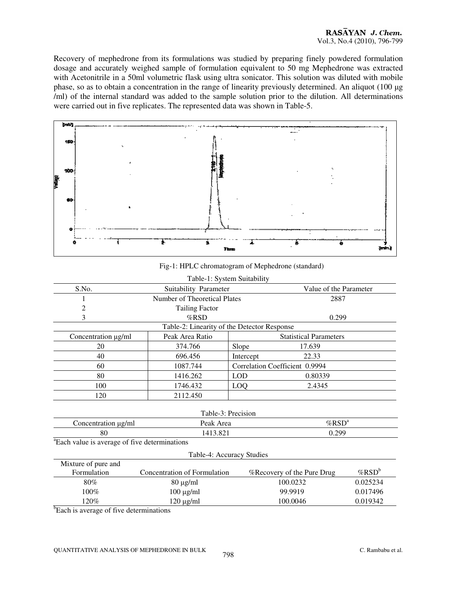## RASAYAN J. Chem. Vol.3, No.4 (2010), 796-799

Recovery of mephedrone from its formulations was studied by preparing finely powdered formulation dosage and accurately weighed sample of formulation equivalent to 50 mg Mephedrone was extracted with Acetonitrile in a 50ml volumetric flask using ultra sonicator. This solution was diluted with mobile phase, so as to obtain a concentration in the range of linearity previously determined. An aliquot (100 µg /ml) of the internal standard was added to the sample solution prior to the dilution. All determinations were carried out in five replicates. The represented data was shown in Table-5.



|                                                           |                                             | Table-1: System Suitability    |                            |                        |  |
|-----------------------------------------------------------|---------------------------------------------|--------------------------------|----------------------------|------------------------|--|
| S.No.                                                     |                                             | Suitability Parameter          |                            | Value of the Parameter |  |
|                                                           |                                             | Number of Theoretical Plates   |                            | 2887                   |  |
| 2                                                         | <b>Tailing Factor</b>                       |                                |                            |                        |  |
| 3                                                         | $%$ RSD                                     |                                | 0.299                      |                        |  |
|                                                           | Table-2: Linearity of the Detector Response |                                |                            |                        |  |
| Concentration µg/ml                                       | Peak Area Ratio                             | <b>Statistical Parameters</b>  |                            |                        |  |
| 20                                                        | 374.766                                     | Slope                          | 17.639                     |                        |  |
| 40                                                        | 696.456                                     | Intercept                      | 22.33                      |                        |  |
| 60                                                        | 1087.744                                    | Correlation Coefficient 0.9994 |                            |                        |  |
| 80                                                        | 1416.262                                    | <b>LOD</b>                     | 0.80339                    |                        |  |
| 100                                                       | 1746.432                                    | LOQ                            | 2.4345                     |                        |  |
| 120                                                       | 2112.450                                    |                                |                            |                        |  |
|                                                           |                                             |                                |                            |                        |  |
|                                                           |                                             | Table-3: Precision             |                            |                        |  |
| Concentration µg/ml                                       |                                             | Peak Area                      |                            | $%$ RSD <sup>a</sup>   |  |
| 80                                                        |                                             | 1413.821                       |                            | 0.299                  |  |
| <sup>a</sup> Each value is average of five determinations |                                             |                                |                            |                        |  |
|                                                           |                                             | Table-4: Accuracy Studies      |                            |                        |  |
| Mixture of pure and                                       |                                             |                                |                            |                        |  |
| Formulation                                               | Concentration of Formulation                |                                | %Recovery of the Pure Drug | %RSD <sup>b</sup>      |  |

| Fig-1: HPLC chromatogram of Mephedrone (standard) |  |  |
|---------------------------------------------------|--|--|
|---------------------------------------------------|--|--|

| <sup>b</sup> Each is average of five determinations |
|-----------------------------------------------------|
|-----------------------------------------------------|

 $80\%$  80  $\mu$ g/ml 100.0232 0.025234 100% 100 µg/ml 99.9919 0.017496 120% 120 µg/ml 100.0046 0.019342